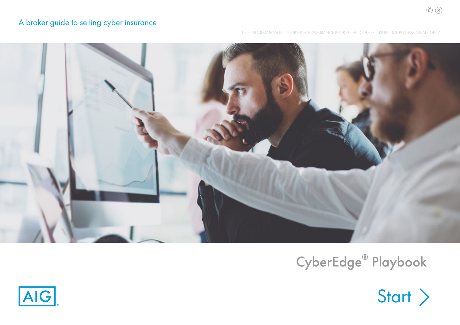## <span id="page-0-0"></span>A broker guide to selling cyber insurance

THIS INFORMATION IS INTENDED FOR INSURANCE BROKERS AND OTHER INSURANCE PROFESSIONALS ONLY



## CyberEdge**®** Playbook



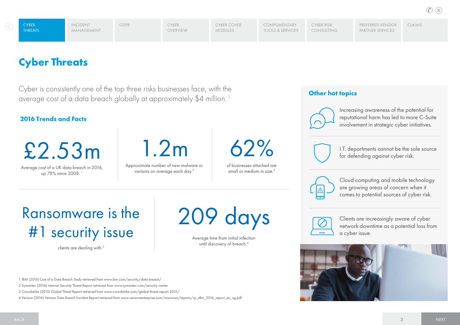[Claims](#page-12-0)

## <span id="page-1-0"></span>**Cyber Threats**

Cyber is consistently one of the top three risks businesses face, with the average cost of a data breach globally at approximately \$4 million. 1

## **2016 Trends and Facts**

£2.53m

Average cost of a UK data breach in 2016, up 78% since 2008. 1

1.2m

Approximate number of new malware or variants on average each day.2



of businesses attacked are small or medium in size.<sup>3</sup>

## **Other hot topics**



Increasing awareness of the potential for reputational harm has led to more C-Suite involvement in strategic cyber initiatives.



I.T. departments cannot be the sole source for defending against cyber risk.



Cloud computing and mobile technology are growing areas of concern when it comes to potential sources of cyber risk.

# Ransomware is the #1 security issue

clients are dealing with.2

209 days

Average time from initial infection until discovery of breach.<sup>4</sup>

1 IBM (2016) Cost of a Data Breach Study retrieved from www.ibm.com/security/data-breach/

2 Symantec (2016) Internet Security Threat Report retrieved from www.symantec.com/security-center

3 Crowdstrike (2015) Global Threat Report retrieved from www.crowdstrike.com/global-threat-report-2015/

4 Verizon (2016) Verizon Data Breach Incident Report retrieved from www.verizonenterprise.com/resources/reports/rp\_dbir\_2016\_report\_en\_xg.pdf



Clients are increasingly aware of cyber network downtime as a potential loss from a cyber issue.

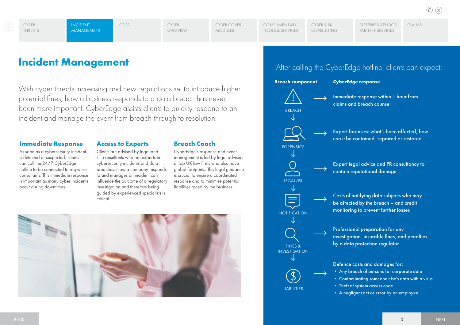[Claims](#page-12-0)

## <span id="page-2-0"></span>**Incident Management**

With cyber threats increasing and new regulations set to introduce higher potential fines, how a business responds to a data breach has never been more important. CyberEdge assists clients to quickly respond to an incident and manage the event from breach through to resolution.

### **Immediate Response**

As soon as a cybersecurity incident is detected or suspected, clients can call the 24/7 CyberEdge hotline to be connected to response consultants. This immediate response is important as many cyber incidents occur during downtimes.

## **Access to Experts**

Clients are advised by legal and I.T. consultants who are experts in cybersecurity incidents and data breaches. How a company responds to and manages an incident can influence the outcome of a regulatory investigation and therefore being guided by experienced specialists is critical.

## **Breach Coach**

CyberEdge's response and event management is led by legal advisers at top UK law firms who also have global footprints. This legal guidance is crucial to ensure a coordinated response and to minimise potential liabilities faced by the business.



## After calling the CyberEdge hotline, clients can expect:

**Breach component CyberEdge response**



legal/pr

**NOTIFICATION** 

三

forensics

fines & investigation

**IIABILITIES** 

Immediate response within 1 hour from claims and breach counsel

Expert forensics: what's been affected, how can it be contained, repaired or restored

Expert legal advice and PR consultancy to contain reputational damage

Costs of notifying data subjects who may be affected by the breach – and credit monitoring to prevent further losses

Professional preparation for any investigation, insurable fines, and penalties by a data protection regulator

Defence costs and damages for: • Any breach of personal or corporate data

- Contaminating someone else's data with a virus
- Theft of system access code
- A negligent act or error by an employee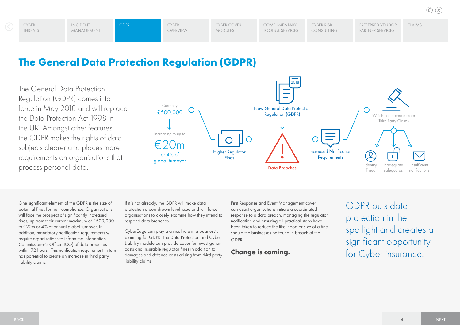## <span id="page-3-0"></span>**The General Data Protection Regulation (GDPR)**

The General Data Protection Regulation (GDPR) comes into force in May 2018 and will replace the Data Protection Act 1998 in the UK. Amongst other features, the GDPR makes the rights of data subjects clearer and places more requirements on organisations that process personal data.



One significant element of the GDPR is the size of potential fines for non-compliance. Organisations will face the prospect of significantly increased fines, up from their current maximum of £500,000 to €20m or 4% of annual global turnover. In addition, mandatory notification requirements will require organisations to inform the Information Commissioner's Office (ICO) of data breaches within 72 hours. This notification requirement in turn has potential to create an increase in third party liability claims.

If it's not already, the GDPR will make data protection a boardroom level issue and will force organisations to closely examine how they intend to respond data breaches.

CyberEdge can play a critical role in a business's planning for GDPR. The Data Protection and Cyber Liability module can provide cover for investigation costs and insurable regulator fines in addition to damages and defence costs arising from third party liability claims.

First Response and Event Management cover can assist organisations initiate a coordinated response to a data breach, managing the regulator notification and ensuring all practical steps have been taken to reduce the likelihood or size of a fine should the businesses be found in breach of the GDPR.

## **Change is coming.**

GDPR puts data protection in the spotlight and creates a significant opportunity for Cyber insurance.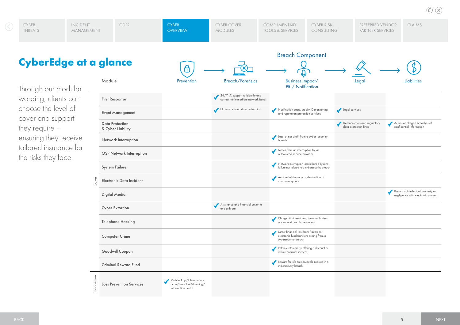<span id="page-4-0"></span>

| <b>CyberEdge at a glance</b> |                         |                               | <b>Breach Component</b><br>w. |                                 |                                      |                                                     |                          |                                      |               |  |
|------------------------------|-------------------------|-------------------------------|-------------------------------|---------------------------------|--------------------------------------|-----------------------------------------------------|--------------------------|--------------------------------------|---------------|--|
|                              | <b>CYBER</b><br>THREATS | <b>INCIDENT</b><br>MANAGEMENT | GDPR                          | <b>CYBER</b><br><b>OVERVIEW</b> | <b>CYBER COVER</b><br><b>MODULES</b> | <b>COMPLIMENTARY</b><br><b>TOOLS &amp; SERVICES</b> | CYBER RISK<br>CONSULTING | PREFERRED VENDOR<br>PARTNER SERVICES | <b>CLAIMS</b> |  |

Through our modular wording, clients can choose the level of cover and support they require – ensuring they receive tailored insurance for the risks they face.

| a q         | <b>ance</b>                          | $\overline{\mathbf{c}}$                                                            |                                                                           |                                                                                                           |                                                       |                                                                          |
|-------------|--------------------------------------|------------------------------------------------------------------------------------|---------------------------------------------------------------------------|-----------------------------------------------------------------------------------------------------------|-------------------------------------------------------|--------------------------------------------------------------------------|
|             | Module                               | Prevention                                                                         | <b>Breach/Forensics</b>                                                   | <b>Business Impact/</b><br>PR / Notification                                                              | Lega                                                  | Liabilities                                                              |
|             | <b>First Response</b>                |                                                                                    | 24/7 I.T. support to identify and<br>correct the immediate network issues |                                                                                                           |                                                       |                                                                          |
|             | <b>Event Management</b>              |                                                                                    | I.T. services and data restoration                                        | Notification costs, credit/ID monitoring<br>and reputation protection services                            | Legal services                                        |                                                                          |
|             | Data Protection<br>& Cyber Liability |                                                                                    |                                                                           |                                                                                                           | Defence costs and regulatory<br>data protection fines | Actual or alleged breaches of<br>confidential information                |
|             | Network Interruption                 |                                                                                    |                                                                           | Loss of net profit from a cyber- security<br>breach                                                       |                                                       |                                                                          |
|             | OSP Network Interruption             |                                                                                    |                                                                           | Losses from an interruption to an<br>outsourced service provider                                          |                                                       |                                                                          |
|             | <b>System Failure</b>                |                                                                                    |                                                                           | Network interruption losses from a system<br>failure not related to a cybersecurity breach                |                                                       |                                                                          |
| Cover       | Electronic Data Incident             |                                                                                    |                                                                           | Accidental damage or destruction of<br>computer system                                                    |                                                       |                                                                          |
|             | Digital Media                        |                                                                                    |                                                                           |                                                                                                           |                                                       | Breach of intellectual property or<br>negligence with electronic content |
|             | <b>Cyber Extortion</b>               |                                                                                    | Assistance and financial cover to<br>end a threat                         |                                                                                                           |                                                       |                                                                          |
|             | <b>Telephone Hacking</b>             |                                                                                    |                                                                           | Charges that result from the unauthorised<br>access and use phone systems                                 |                                                       |                                                                          |
|             | <b>Computer Crime</b>                |                                                                                    |                                                                           | Direct financial loss from fraudulent<br>electronic fund transfers arising from a<br>cybersecurity breach |                                                       |                                                                          |
|             | Goodwill Coupon                      |                                                                                    |                                                                           | Retain customers by offering a discount or<br>rebate on future services                                   |                                                       |                                                                          |
|             | <b>Criminal Reward Fund</b>          |                                                                                    |                                                                           | Reward for info on individuals involved in a<br>cybersecurity breach                                      |                                                       |                                                                          |
| Endorsement | <b>Loss Prevention Services</b>      | Mobile App/Infrastructure<br>Scan/Proactive Shunning/<br><b>Information Portal</b> |                                                                           |                                                                                                           |                                                       |                                                                          |

 $\circledR$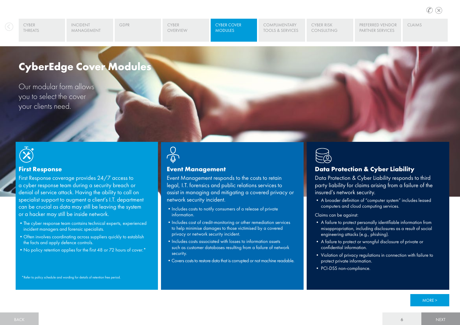CYBER **OVERVIEW** 

[GDPR](#page-3-0) CYBER COVER CYBER COVER **MODULES** 

COMPLIMENTARY [Tools & Services](#page-8-0) Cyber Risk [Consulting](#page-9-0) [Preferred Vendor](#page-10-0)  PARTNER SERVICES

[Claims](#page-12-0)

## <span id="page-5-0"></span>**CyberEdge Cover Modules**

Our modular form allows you to select the cover your clients need.



#### **First Response**

First Response coverage provides 24/7 access to a cyber response team during a security breach or denial of service attack. Having the ability to call on specialist support to augment a client's I.T. department can be crucial as data may still be leaving the system or a hacker may still be inside network.

- •The cyber response team contains technical experts, experienced incident managers and forensic specialists.
- •Often involves coordinating across suppliers quickly to establish the facts and apply defence controls.
- No policy retention applies for the first 48 or 72 hours of cover.<sup>\*</sup>

 $\frac{0}{9}$ 

#### **Event Management**

Event Management responds to the costs to retain legal, I.T. forensics and public relations services to assist in managing and mitigating a covered privacy or network security incident.

- Includes costs to notify consumers of a release of private information.
- Includes cost of credit-monitoring or other remediation services to help minimise damages to those victimised by a covered privacy or network security incident.
- Includes costs associated with losses to information assets such as customer databases resulting from a failure of network security.
- Covers costs to restore data that is corrupted or not machine readable.



## **Data Protection & Cyber Liability**

Data Protection & Cyber Liability responds to third party liability for claims arising from a failure of the insured's network security.

• A broader definition of "computer system" includes leased computers and cloud computing services.

Claims can be against:

- A failure to protect personally identifiable information from misappropriation, including disclosures as a result of social engineering attacks (e.g., phishing).
- A failure to protect or wrongful disclosure of private or confidential information.
- Violation of privacy regulations in connection with failure to protect private information.
- PCI-DSS non-compliance.

\*Refer to policy schedule and wording for details of retention free period.

[MORE >](#page-6-0)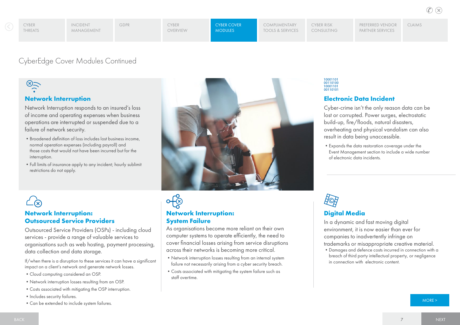[Claims](#page-12-0)

[GDPR](#page-3-0) CYBER COVER COVER CYBER [OVERVIEW](#page-4-0)

**MODULES** 

COMPLIMENTARY TOOLS & SERVICES Cyber Risk [Consulting](#page-9-0)

 $\begin{array}{c} 10001101 \\ 00110100 \\ 10001101 \end{array}$ 

00110101

**Electronic Data Incident**

result in data being unaccessible.

In a dynamic and fast moving digital environment, it is now easier than ever for companies to inadvertently infringe on

of electronic data incidents.

**Digital Media**

Cyber-crime isn't the only reason data can be lost or corrupted. Power surges, electrostatic build-up, fire/floods, natural disasters, overheating and physical vandalism can also

•Expands the data restoration coverage under the Event Management section to include a wide number

Preferred Vendor [Partner Services](#page-10-0)

## <span id="page-6-0"></span>CyberEdge Cover Modules Continued

## $\frac{1}{2}$

## **Network Interruption**

Network Interruption responds to an insured's loss of income and operating expenses when business operations are interrupted or suspended due to a failure of network security.

- •Broadened definition of loss includes lost business income, normal operation expenses (including payroll) and those costs that would not have been incurred but for the interruption.
- •Full limits of insurance apply to any incident; hourly sublimit restrictions do not apply.



As organisations become more reliant on their own computer systems to operate efficiently, the need to cover financial losses arising from service disruptions across their networks is becoming more critical. •Network interruption losses resulting from an internal system failure not necessarily arising from a cyber security breach. •Costs associated with mitigating the system failure such as

**Network Interruption:** 

**System Failure**

staff overtime.

## **Network Interruption: Outsourced Service Providers**

Outsourced Service Providers (OSPs) - including cloud services - provide a range of valuable services to organisations such as web hosting, payment processing, data collection and data storage.

If/when there is a disruption to these services it can have a significant impact on a client's network and generate network losses.

- •Cloud computing considered an OSP.
- •Network interruption losses resulting from an OSP.
- •Costs associated with mitigating the OSP interruption.
- Includes security failures.
- Can be extended to include system failures. [MORE >](#page-7-0) MORE > MORE + MORE + MORE + MORE + MORE + MORE + MORE + MORE + MORE + MORE + MORE + MORE + MORE + MORE + MORE + MORE + MORE + MORE + MORE + MORE + MORE + MORE + MORE + M

## trademarks or misappropriate creative material.

•Damages and defence costs incurred in connection with a breach of third party intellectual property, or negligence in connection with electronic content.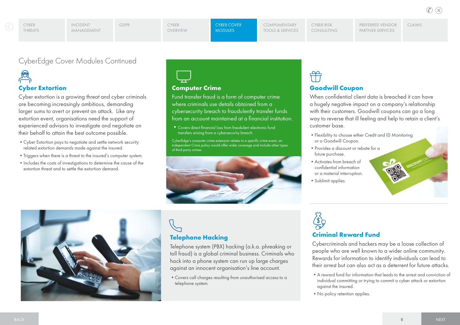CYBER **OVERVIEW** 

[GDPR](#page-3-0) CYBER COVER COVER **MODULES** 

[Preferred Vendor](#page-10-0)  PARTNER SERVICES [Claims](#page-12-0)

## <span id="page-7-0"></span>CyberEdge Cover Modules Continued

# **Cyber Extortion**

Cyber extortion is a growing threat and cyber criminals are becoming increasingly ambitious, demanding larger sums to avert or prevent an attack. Like any extortion event, organisations need the support of experienced advisors to investigate and negotiate on their behalf to attain the best outcome possible.

- •Cyber Extortion pays to negotiate and settle network security related extortion demands made against the insured.
- •Triggers when there is a threat to the insured's computer system.
- Includes the costs of investigations to determine the cause of the extortion threat and to settle the extortion demand.



## **Computer Crime**

Fund transfer fraud is a form of computer crime where criminals use details obtained from a cybersecurity breach to fraudulently transfer funds from an account maintained at a financial institution.

•Covers direct financial loss from fraudulent electronic fund transfers arising from a cybersecurity breach.

CyberEdge's computer crime extension relates to a specific crime event, an independent Crime policy would offer wider coverage and include other types of third party crimes.



# **Goodwill Coupon**

When confidential client data is breached it can have a hugely negative impact on a company's relationship with their customers. Goodwill coupons can go a long way to reverse that ill feeling and help to retain a client's customer base.

- •Flexibility to choose either Credit and ID Monitoring or a Goodwill Coupon.
- •Provides a discount or rebate for a future purchase.
- •Activates from breach of confidential information or a material interruption.
- Sublimit applies.



## **Telephone Hacking**

Telephone system (PBX) hacking (a.k.a. phreaking or toll fraud) is a global criminal business. Criminals who hack into a phone system can run up large charges against an innocent organisation's line account.

•Covers call charges resulting from unauthorised access to a telephone system.



## **Criminal Reward Fund**

Cybercriminals and hackers may be a loose collection of people who are well known to a wider online community. Rewards for information to identify individuals can lead to their arrest but can also act as a deterrent for future attacks.

- •A reward fund for information that leads to the arrest and conviction of individual committing or trying to commit a cyber attack or extortion against the insured.
- No policy retention applies.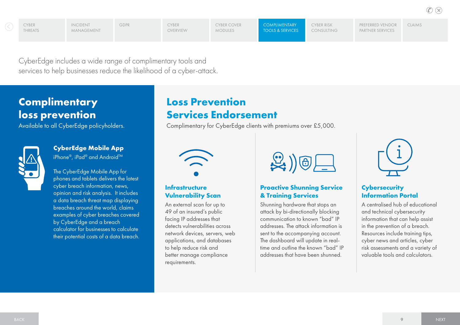[GDPR](#page-3-0) CYBER COVER **OVERVIEW** 

CYBER

Cyber Risk [Consulting](#page-9-0) [Preferred Vendor](#page-10-0)  PARTNER SERVICES

[Claims](#page-12-0)

<span id="page-8-0"></span>CyberEdge includes a wide range of complimentary tools and services to help businesses reduce the likelihood of a cyber-attack.

## **Complimentary loss prevention**

Available to all CyberEdge policyholders.



## **CyberEdge Mobile App** iPhone®, iPad® and Android™

The CyberEdge Mobile App for phones and tablets delivers the latest cyber breach information, news, opinion and risk analysis. It includes a data breach threat map displaying breaches around the world, claims examples of cyber breaches covered by CyberEdge and a breach calculator for businesses to calculate

their potential costs of a data breach.

## **Loss Prevention Services Endorsement**

Complimentary for CyberEdge clients with premiums over £5,000.



## **Infrastructure Vulnerability Scan**

An external scan for up to 49 of an insured's public facing IP addresses that detects vulnerabilities across network devices, servers, web applications, and databases to help reduce risk and better manage compliance requirements.



## **Proactive Shunning Service & Training Services**

Shunning hardware that stops an attack by bi-directionally blocking communication to known "bad" IP addresses. The attack information is sent to the accompanying account. The dashboard will update in realtime and outline the known "bad" IP addresses that have been shunned.



## **Cybersecurity Information Portal**

A centralised hub of educational and technical cybersecurity information that can help assist in the prevention of a breach. Resources include training tips, cyber news and articles, cyber risk assessments and a variety of valuable tools and calculators.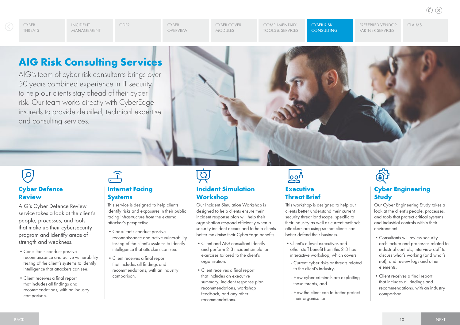<span id="page-9-0"></span>**THREATS** 

CYBER **OVERVIEW** 

[GDPR](#page-3-0) CYBER COVER Modules

COMPLIMENTARY [Tools & Services](#page-8-0)

Cyber Risk **CONSULTING**  [Preferred Vendor](#page-10-0)  PARTNER SERVICES

[Claims](#page-12-0)

## **AIG Risk Consulting Services**

AIG's team of cyber risk consultants brings over 50 years combined experience in IT security to help our clients stay ahead of their cyber risk. Our team works directly with CyberEdge insureds to provide detailed, technical expertise and consulting services.



## $\overline{\mathcal{L}}$ **Cyber Defence Review**

AIG's Cyber Defence Review service takes a look at the client's people, processes, and tools that make up their cybersecurity program and identify areas of strength and weakness.

- •Consultants conduct passive reconnaissance and active vulnerability testing of the client's systems to identify intelligence that attackers can see.
- •Client receives a final report that includes all findings and recommendations, with an industry comparison.

## $\widehat{1}$

### **Internet Facing Systems**

This service is designed to help clients identify risks and exposures in their public facing infrastructure from the external attacker's perspective.

- •Consultants conduct passive reconnaissance and active vulnerability testing of the client's systems to identify intelligence that attackers can see.
- •Client receives a final report that includes all findings and recommendations, with an industry comparison.



## **Incident Simulation Workshop**

Our Incident Simulation Workshop is designed to help clients ensure their incident response plan will help their organisation respond efficiently when a security incident occurs and to help clients better maximise their CyberEdge benefits.

- •Client and AIG consultant identify and perform 2-3 incident simulation exercises tailored to the client's organisation.
- •Client receives a final report that includes an executive summary, incident response plan recommendations, workshop feedback, and any other recommendations.



## **Executive Threat Brief**

This workshop is designed to help our clients better understand their current security threat landscape, specific to their industry as well as current methods attackers are using so that clients can better defend their business.

- •Client's c-level executives and other staff benefit from this 2-3 hour interactive workshop, which covers:
- Current cyber risks or threats related to the client's industry,
- How cyber criminals are exploiting those threats, and
- How the client can to better protect their organisation.



## **Cyber Engineering Study**

Our Cyber Engineering Study takes a look at the client's people, processes, and tools that protect critical systems and industrial controls within their environment.

- •Consultants will review security architecture and processes related to industrial controls, interview staff to discuss what's working (and what's not), and review logs and other elements.
- •Client receives a final report that includes all findings and recommendations, with an industry comparison.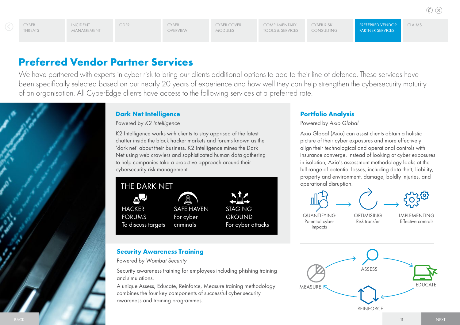<span id="page-10-0"></span>CYBER **THREATS**  Incident

Preferred Vendor [Claims](#page-12-0)

## **Preferred Vendor Partner Services**

We have partnered with experts in cyber risk to bring our clients additional options to add to their line of defence. These services have been specifically selected based on our nearly 20 years of experience and how well they can help strengthen the cybersecurity maturity of an organisation. All CyberEdge clients have access to the following services at a preferred rate.

## **Dark Net Intelligence**

Powered by *K2 Intelligence*

K2 Intelligence works with clients to stay apprised of the latest chatter inside the black hacker markets and forums known as the 'dark net' about their business. K2 Intelligence mines the Dark Net using web crawlers and sophisticated human data gathering to help companies take a proactive approach around their cybersecurity risk management.



## **Security Awareness Training**

Powered by *Wombat Security*

Security awareness training for employees including phishing training and simulations.

A unique Assess, Educate, Reinforce, Measure training methodology combines the four key components of successful cyber security awareness and training programmes.

## **Portfolio Analysis**

Powered by *Axio Global* 

Axio Global (Axio) can assist clients obtain a holistic picture of their cyber exposures and more effectively align their technological and operational controls with insurance converge. Instead of looking at cyber exposures in isolation, Axio's assessment methodology looks at the full range of potential losses, including data theft, liability, property and environment, damage, boldly injuries, and operational disruption.



Risk transfer

Potential cyber impacts

**IMPIFMENTING** Effective controls

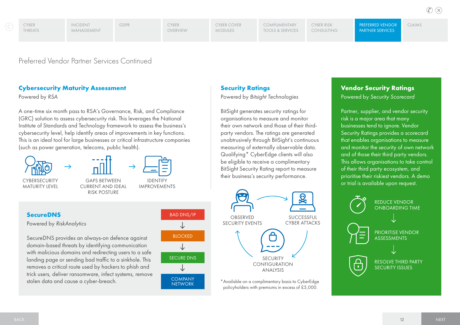<span id="page-11-0"></span>CYBER **THREATS** 

**Security Ratings**

Powered by *Bitsight Technologies* 

BitSight generates security ratings for organisations to measure and monitor their own network and those of their thirdparty vendors. The ratings are generated unobtrusively through BitSight's continuous measuring of externally observable data. Qualifying\* CyberEdge clients will also be eligible to receive a complimentary BitSight Security Rating report to measure their business's security performance.

[Claims](#page-12-0)

 $(\times)$ 

Preferred Vendor Partner Services Continued

## **Cybersecurity Maturity Assessment**

#### Powered by *RSA*

A one-time six month pass to RSA's Governance, Risk, and Compliance (GRC) solution to assess cybersecurity risk. This leverages the National Institute of Standards and Technology framework to assess the business's cybersecurity level, help identify areas of improvements in key functions. This is an ideal tool for large businesses or critical infrastructure companies (such as power generation, telecoms, public health).





Gaps Between Current and Ideal Risk Posture

**IDENTIFY** Improvements

## **SecureDNS**

Powered by *RiskAnalytics*

SecureDNS provides an always-on defence against domain-based threats by identifying communication with malicious domains and redirecting users to a safe landing page or sending bad traffic to a sinkhole. This removes a critical route used by hackers to phish and trick users, deliver ransomware, infect systems, remove stolen data and cause a cyber-breach. \*Available on a complimentary basis to CyberEdge





policyholders with premiums in excess of £5,000.

## **Vendor Security Ratings**

Powered by *Security Scorecard*

Partner, supplier, and vendor security risk is a major area that many businesses tend to ignore. Vendor Security Ratings provides a scorecard that enables organisations to measure and monitor the security of own network and of those their third party vendors. This allows organisations to take control of their third party ecosystem, and prioritise their riskiest vendors. A demo or trial is available upon request.

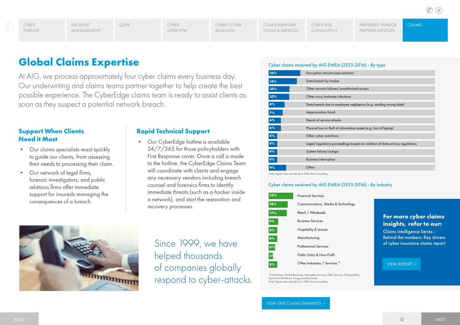Claims

## <span id="page-12-0"></span>**Global Claims Expertise**

At AIG, we process approximately four cyber claims every business day. Our underwriting and claims teams partner together to help create the best possible experience. The CyberEdge claims team is ready to assist clients as soon as they suspect a potential network breach.

## **Support When Clients Need it Most**

- Our claims specialists react quickly to guide our clients, from assessing their needs to processing their claim.
- Our network of legal firms, forensic investigators, and public relations firms offer immediate support for insureds managing the consequences of a breach.

### **Rapid Technical Support**

• Our CyberEdge hotline is available 24/7/365 for those policyholders with First Response cover. Once a call is made to the hotline, the CyberEdge Claims Team will coordinate with clients and engage any necessary vendors including breach counsel and forensics firms to identify immediate threats (such as a hacker inside a network), and start the restoration and recovery processes.



Since 1999, we have helped thousands of companies globally respond to cyber-attacks.

#### Cyber claims received by AIG EMEA (2013-2016) - By type

Note: Figures may not add up to 100% due to rounding

#### Cyber claims received by AIG EMEA (2013-2016) - By industry

| 23% | <b>Financial Services</b>          |
|-----|------------------------------------|
| 18% | Communications, Media & Technology |
| 17% | Retail / Wholesale                 |
| 9%  | <b>Business Services</b>           |
| 8%  | Hospitality & Leisure              |
| 8%  | Manufacturing                      |
| 6%  | <b>Professional Services</b>       |
| 4%  | Public Entity & Non-Profit         |
| 8%  | Other Industries / Services *      |
|     |                                    |

\*Construction, Food & Beverage, Information Services, Other Services, Transportation, Agriculture & Fisheries, Energy and Real Estate Note: Figures may not add up to 100% due to rounding

[VIEW SME Claims](#page-13-0) Examples >

#### **For more cyber claims insights, refer to our:** Claims Intelligence Series -

Behind the numbers: Key drivers of cyber insurance claims report

#### [VIEW REPORT >](https://www.aig.co.uk/content/dam/aig/emea/united-kingdom/documents/Insights/aig-claims-intelligence-cyber.pdf)

 $\mathbb{C} \times$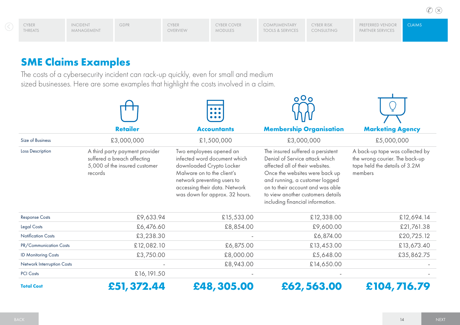## <span id="page-13-0"></span>**SME Claims Examples**

The costs of a cybersecurity incident can rack-up quickly, even for small and medium sized businesses. Here are some examples that highlight the costs involved in a claim.

|                            |                                                                                                           | $\bullet\bullet\bullet$                                                                                                                                                                                             | $O \cap O$                                                                                                                                                                                                                                                                              |                                                                                                               |  |
|----------------------------|-----------------------------------------------------------------------------------------------------------|---------------------------------------------------------------------------------------------------------------------------------------------------------------------------------------------------------------------|-----------------------------------------------------------------------------------------------------------------------------------------------------------------------------------------------------------------------------------------------------------------------------------------|---------------------------------------------------------------------------------------------------------------|--|
|                            | <b>Retailer</b>                                                                                           | <b>Accountants</b>                                                                                                                                                                                                  | <b>Membership Organisation</b>                                                                                                                                                                                                                                                          | <b>Marketing Agency</b>                                                                                       |  |
| Size of Business           | £3,000,000                                                                                                | £1,500,000                                                                                                                                                                                                          | £3,000,000                                                                                                                                                                                                                                                                              | £5,000,000                                                                                                    |  |
| Loss Description           | A third party payment provider<br>suffered a breach affecting<br>5,000 of the insured customer<br>records | Two employees opened an<br>infected word document which<br>downloaded Crypto Locker<br>Malware on to the client's<br>network preventing users to<br>accessing their data. Network<br>was down for approx. 32 hours. | The insured suffered a persistent<br>Denial of Service attack which<br>affected all of their websites.<br>Once the websites were back up<br>and running, a customer logged<br>on to their account and was able<br>to view another customers details<br>including financial information. | A back-up tape was collected by<br>the wrong courier. The back-up<br>tape held the details of 3.2M<br>members |  |
| <b>Response Costs</b>      | £9,633.94                                                                                                 | £15,533.00                                                                                                                                                                                                          | £12,338.00                                                                                                                                                                                                                                                                              | £12,694.14                                                                                                    |  |
| <b>Legal Costs</b>         | £6,476.60                                                                                                 | £8,854.00                                                                                                                                                                                                           | £9,600.00                                                                                                                                                                                                                                                                               | £21,761.38                                                                                                    |  |
| <b>Notification Costs</b>  | £3,238.30                                                                                                 |                                                                                                                                                                                                                     | £6,874.00                                                                                                                                                                                                                                                                               | £20,725.12                                                                                                    |  |
| PR/Communication Costs     | £12,082.10                                                                                                | £6,875.00                                                                                                                                                                                                           | £13,453.00                                                                                                                                                                                                                                                                              | £13,673.40                                                                                                    |  |
| <b>ID Monitoring Costs</b> | £3,750.00                                                                                                 | £8,000.00                                                                                                                                                                                                           | £5,648.00                                                                                                                                                                                                                                                                               | £35,862.75                                                                                                    |  |
| Network Interruption Costs |                                                                                                           | £8,943.00                                                                                                                                                                                                           | £14,650.00                                                                                                                                                                                                                                                                              |                                                                                                               |  |
| <b>PCI Costs</b>           | £16,191.50                                                                                                |                                                                                                                                                                                                                     |                                                                                                                                                                                                                                                                                         |                                                                                                               |  |
| <b>Total Cost</b>          | £51,372.44                                                                                                | £48,305.00                                                                                                                                                                                                          | £62,563.00                                                                                                                                                                                                                                                                              | £104,716.79                                                                                                   |  |

 $\sim$   $\sim$   $\sim$ 

 $\circledR$